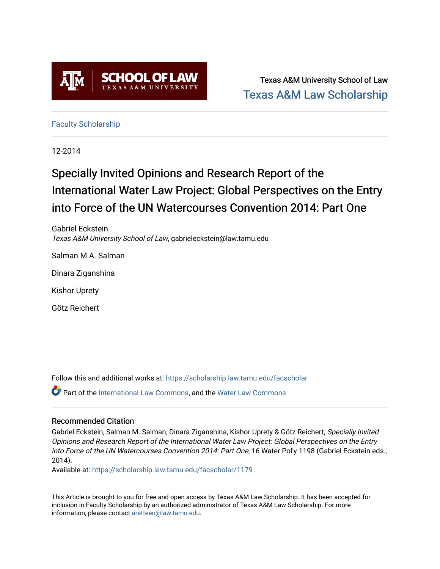

Texas A&M University School of Law [Texas A&M Law Scholarship](https://scholarship.law.tamu.edu/) 

[Faculty Scholarship](https://scholarship.law.tamu.edu/facscholar)

12-2014

# Specially Invited Opinions and Research Report of the International Water Law Project: Global Perspectives on the Entry into Force of the UN Watercourses Convention 2014: Part One

Gabriel Eckstein Texas A&M University School of Law, gabrieleckstein@law.tamu.edu

Salman M.A. Salman

Dinara Ziganshina

Kishor Uprety

Götz Reichert

Follow this and additional works at: [https://scholarship.law.tamu.edu/facscholar](https://scholarship.law.tamu.edu/facscholar?utm_source=scholarship.law.tamu.edu%2Ffacscholar%2F1179&utm_medium=PDF&utm_campaign=PDFCoverPages) 

 $\bullet$  Part of the [International Law Commons,](http://network.bepress.com/hgg/discipline/609?utm_source=scholarship.law.tamu.edu%2Ffacscholar%2F1179&utm_medium=PDF&utm_campaign=PDFCoverPages) and the [Water Law Commons](http://network.bepress.com/hgg/discipline/887?utm_source=scholarship.law.tamu.edu%2Ffacscholar%2F1179&utm_medium=PDF&utm_campaign=PDFCoverPages)

## Recommended Citation

Gabriel Eckstein, Salman M. Salman, Dinara Ziganshina, Kishor Uprety & Götz Reichert, Specially Invited Opinions and Research Report of the International Water Law Project: Global Perspectives on the Entry into Force of the UN Watercourses Convention 2014: Part One, 16 Water Pol'y 1198 (Gabriel Eckstein eds., 2014).

Available at: [https://scholarship.law.tamu.edu/facscholar/1179](https://scholarship.law.tamu.edu/facscholar/1179?utm_source=scholarship.law.tamu.edu%2Ffacscholar%2F1179&utm_medium=PDF&utm_campaign=PDFCoverPages) 

This Article is brought to you for free and open access by Texas A&M Law Scholarship. It has been accepted for inclusion in Faculty Scholarship by an authorized administrator of Texas A&M Law Scholarship. For more information, please contact [aretteen@law.tamu.edu](mailto:aretteen@law.tamu.edu).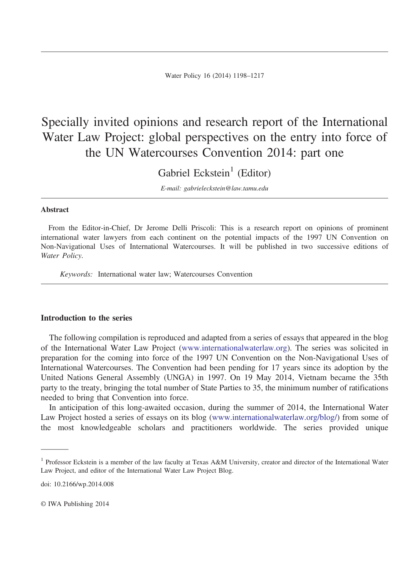## Specially invited opinions and research report of the International Water Law Project: global perspectives on the entry into force of the UN Watercourses Convention 2014: part one

Gabriel Eckstein<sup>1</sup> (Editor)

E-mail: [gabrieleckstein@law.tamu.edu](mailto:gabrieleckstein@law.tamu.edu)

#### **Abstract**

From the Editor-in-Chief, Dr Jerome Delli Priscoli: This is a research report on opinions of prominent international water lawyers from each continent on the potential impacts of the 1997 UN Convention on Non-Navigational Uses of International Watercourses. It will be published in two successive editions of Water Policy.

Keywords: International water law; Watercourses Convention

## Introduction to the series

The following compilation is reproduced and adapted from a series of essays that appeared in the blog of the International Water Law Project [\(www.internationalwaterlaw.org](http://www.internationalwaterlaw.org)). The series was solicited in preparation for the coming into force of the 1997 UN Convention on the Non-Navigational Uses of International Watercourses. The Convention had been pending for 17 years since its adoption by the United Nations General Assembly (UNGA) in 1997. On 19 May 2014, Vietnam became the 35th party to the treaty, bringing the total number of State Parties to 35, the minimum number of ratifications needed to bring that Convention into force.

In anticipation of this long-awaited occasion, during the summer of 2014, the International Water Law Project hosted a series of essays on its blog ([www.internationalwaterlaw.org/blog/](http://www.internationalwaterlaw.org/blog/)) from some of the most knowledgeable scholars and practitioners worldwide. The series provided unique

<sup>&</sup>lt;sup>1</sup> Professor Eckstein is a member of the law faculty at Texas A&M University, creator and director of the International Water Law Project, and editor of the International Water Law Project Blog.

doi: 10.2166/wp.2014.008

<sup>©</sup> IWA Publishing 2014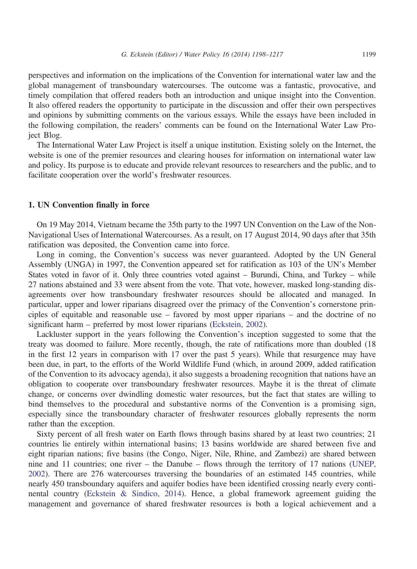perspectives and information on the implications of the Convention for international water law and the global management of transboundary watercourses. The outcome was a fantastic, provocative, and timely compilation that offered readers both an introduction and unique insight into the Convention. It also offered readers the opportunity to participate in the discussion and offer their own perspectives and opinions by submitting comments on the various essays. While the essays have been included in the following compilation, the readers' comments can be found on the International Water Law Project Blog.

The International Water Law Project is itself a unique institution. Existing solely on the Internet, the website is one of the premier resources and clearing houses for information on international water law and policy. Its purpose is to educate and provide relevant resources to researchers and the public, and to facilitate cooperation over the world's freshwater resources.

### 1. UN Convention finally in force

On 19 May 2014, Vietnam became the 35th party to the 1997 UN Convention on the Law of the Non-Navigational Uses of International Watercourses. As a result, on 17 August 2014, 90 days after that 35th ratification was deposited, the Convention came into force.

Long in coming, the Convention's success was never guaranteed. Adopted by the UN General Assembly (UNGA) in 1997, the Convention appeared set for ratification as 103 of the UN's Member States voted in favor of it. Only three countries voted against – Burundi, China, and Turkey – while 27 nations abstained and 33 were absent from the vote. That vote, however, masked long-standing disagreements over how transboundary freshwater resources should be allocated and managed. In particular, upper and lower riparians disagreed over the primacy of the Convention's cornerstone principles of equitable and reasonable use – favored by most upper riparians – and the doctrine of no significant harm – preferred by most lower riparians ([Eckstein, 2002](#page-20-0)).

Lackluster support in the years following the Convention's inception suggested to some that the treaty was doomed to failure. More recently, though, the rate of ratifications more than doubled (18 in the first 12 years in comparison with 17 over the past 5 years). While that resurgence may have been due, in part, to the efforts of the World Wildlife Fund (which, in around 2009, added ratification of the Convention to its advocacy agenda), it also suggests a broadening recognition that nations have an obligation to cooperate over transboundary freshwater resources. Maybe it is the threat of climate change, or concerns over dwindling domestic water resources, but the fact that states are willing to bind themselves to the procedural and substantive norms of the Convention is a promising sign, especially since the transboundary character of freshwater resources globally represents the norm rather than the exception.

Sixty percent of all fresh water on Earth flows through basins shared by at least two countries; 21 countries lie entirely within international basins; 13 basins worldwide are shared between five and eight riparian nations; five basins (the Congo, Niger, Nile, Rhine, and Zambezi) are shared between nine and 11 countries; one river – the Danube – flows through the territory of 17 nations ([UNEP,](#page-20-0) [2002](#page-20-0)). There are 276 watercourses traversing the boundaries of an estimated 145 countries, while nearly 450 transboundary aquifers and aquifer bodies have been identified crossing nearly every continental country [\(Eckstein & Sindico, 2014](#page-20-0)). Hence, a global framework agreement guiding the management and governance of shared freshwater resources is both a logical achievement and a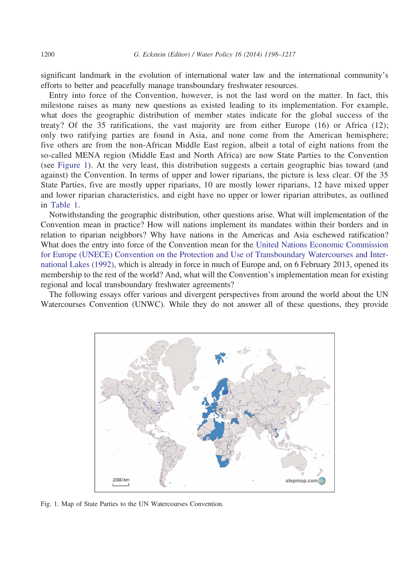significant landmark in the evolution of international water law and the international community's efforts to better and peacefully manage transboundary freshwater resources.

Entry into force of the Convention, however, is not the last word on the matter. In fact, this milestone raises as many new questions as existed leading to its implementation. For example, what does the geographic distribution of member states indicate for the global success of the treaty? Of the 35 ratifications, the vast majority are from either Europe (16) or Africa (12); only two ratifying parties are found in Asia, and none come from the American hemisphere; five others are from the non-African Middle East region, albeit a total of eight nations from the so-called MENA region (Middle East and North Africa) are now State Parties to the Convention (see Figure 1). At the very least, this distribution suggests a certain geographic bias toward (and against) the Convention. In terms of upper and lower riparians, the picture is less clear. Of the 35 State Parties, five are mostly upper riparians, 10 are mostly lower riparians, 12 have mixed upper and lower riparian characteristics, and eight have no upper or lower riparian attributes, as outlined in [Table 1.](#page-4-0)

Notwithstanding the geographic distribution, other questions arise. What will implementation of the Convention mean in practice? How will nations implement its mandates within their borders and in relation to riparian neighbors? Why have nations in the Americas and Asia eschewed ratification? What does the entry into force of the Convention mean for the [United Nations Economic Commission](#page-20-0) [for Europe \(UNECE\) Convention on the Protection and Use of Transboundary Watercourses and Inter](#page-20-0)[national Lakes \(1992\),](#page-20-0) which is already in force in much of Europe and, on 6 February 2013, opened its membership to the rest of the world? And, what will the Convention's implementation mean for existing regional and local transboundary freshwater agreements?

The following essays offer various and divergent perspectives from around the world about the UN Watercourses Convention (UNWC). While they do not answer all of these questions, they provide



Fig. 1. Map of State Parties to the UN Watercourses Convention.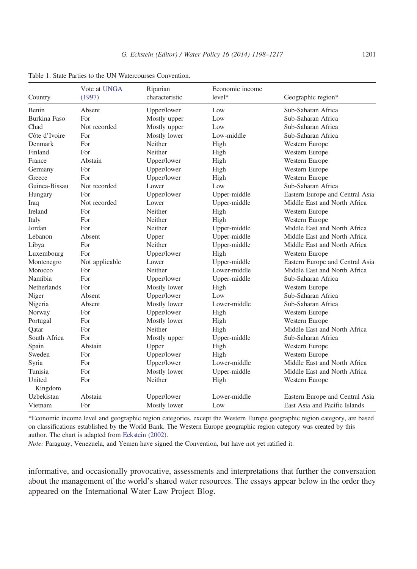|                    | Vote at UNGA   | Riparian       | Economic income |                                 |
|--------------------|----------------|----------------|-----------------|---------------------------------|
| Country            | (1997)         | characteristic | $level*$        | Geographic region*              |
| Benin              | Absent         | Upper/lower    | Low             | Sub-Saharan Africa              |
| Burkina Faso       | For            | Mostly upper   | Low             | Sub-Saharan Africa              |
| Chad               | Not recorded   | Mostly upper   | Low             | Sub-Saharan Africa              |
| Côte d'Ivoire      | For            | Mostly lower   | Low-middle      | Sub-Saharan Africa              |
| Denmark            | For            | Neither        | High            | Western Europe                  |
| Finland            | For            | Neither        | High            | Western Europe                  |
| France             | Abstain        | Upper/lower    | High            | Western Europe                  |
| Germany            | For            | Upper/lower    | High            | Western Europe                  |
| Greece             | For            | Upper/lower    | High            | Western Europe                  |
| Guinea-Bissau      | Not recorded   | Lower          | Low             | Sub-Saharan Africa              |
| Hungary            | For            | Upper/lower    | Upper-middle    | Eastern Europe and Central Asia |
| Iraq               | Not recorded   | Lower          | Upper-middle    | Middle East and North Africa    |
| Ireland            | For            | Neither        | High            | Western Europe                  |
| Italy              | For            | Neither        | High            | Western Europe                  |
| Jordan             | For            | Neither        | Upper-middle    | Middle East and North Africa    |
| Lebanon            | Absent         | Upper          | Upper-middle    | Middle East and North Africa    |
| Libya              | For            | Neither        | Upper-middle    | Middle East and North Africa    |
| Luxembourg         | For            | Upper/lower    | High            | Western Europe                  |
| Montenegro         | Not applicable | Lower          | Upper-middle    | Eastern Europe and Central Asia |
| Morocco            | For            | Neither        | Lower-middle    | Middle East and North Africa    |
| Namibia            | For            | Upper/lower    | Upper-middle    | Sub-Saharan Africa              |
| <b>Netherlands</b> | For            | Mostly lower   | High            | Western Europe                  |
| Niger              | Absent         | Upper/lower    | Low             | Sub-Saharan Africa              |
| Nigeria            | Absent         | Mostly lower   | Lower-middle    | Sub-Saharan Africa              |
| Norway             | For            | Upper/lower    | High            | Western Europe                  |
| Portugal           | For            | Mostly lower   | High            | Western Europe                  |
| Qatar              | For            | Neither        | High            | Middle East and North Africa    |
| South Africa       | For            | Mostly upper   | Upper-middle    | Sub-Saharan Africa              |
| Spain              | Abstain        | Upper          | High            | Western Europe                  |
| Sweden             | For            | Upper/lower    | High            | Western Europe                  |
| Syria              | For            | Upper/lower    | Lower-middle    | Middle East and North Africa    |
| Tunisia            | For            | Mostly lower   | Upper-middle    | Middle East and North Africa    |
| United             | For            | Neither        | High            | Western Europe                  |
| Kingdom            |                |                |                 |                                 |
| Uzbekistan         | Abstain        | Upper/lower    | Lower-middle    | Eastern Europe and Central Asia |
| Vietnam            | For            | Mostly lower   | Low             | East Asia and Pacific Islands   |

<span id="page-4-0"></span>Table 1. State Parties to the UN Watercourses Convention.

\*Economic income level and geographic region categories, except the Western Europe geographic region category, are based on classifications established by the World Bank. The Western Europe geographic region category was created by this author. The chart is adapted from [Eckstein \(2002](#page-20-0)).

Note: Paraguay, Venezuela, and Yemen have signed the Convention, but have not yet ratified it.

informative, and occasionally provocative, assessments and interpretations that further the conversation about the management of the world's shared water resources. The essays appear below in the order they appeared on the International Water Law Project Blog.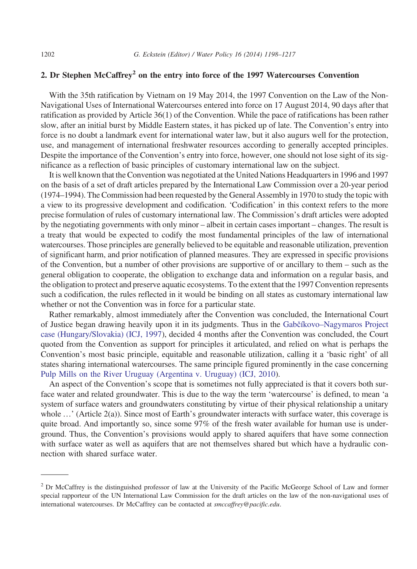## 2. Dr Stephen McCaffrey<sup>2</sup> on the entry into force of the 1997 Watercourses Convention

With the 35th ratification by Vietnam on 19 May 2014, the 1997 Convention on the Law of the Non-Navigational Uses of International Watercourses entered into force on 17 August 2014, 90 days after that ratification as provided by Article 36(1) of the Convention. While the pace of ratifications has been rather slow, after an initial burst by Middle Eastern states, it has picked up of late. The Convention's entry into force is no doubt a landmark event for international water law, but it also augurs well for the protection, use, and management of international freshwater resources according to generally accepted principles. Despite the importance of the Convention's entry into force, however, one should not lose sight of its significance as a reflection of basic principles of customary international law on the subject.

It is well known that the Convention was negotiated at the United Nations Headquarters in 1996 and 1997 on the basis of a set of draft articles prepared by the International Law Commission over a 20-year period (1974–1994). The Commission had been requested by the General Assembly in 1970 to study the topic with a view to its progressive development and codification. 'Codification' in this context refers to the more precise formulation of rules of customary international law. The Commission's draft articles were adopted by the negotiating governments with only minor – albeit in certain cases important – changes. The result is a treaty that would be expected to codify the most fundamental principles of the law of international watercourses. Those principles are generally believed to be equitable and reasonable utilization, prevention of significant harm, and prior notification of planned measures. They are expressed in specific provisions of the Convention, but a number of other provisions are supportive of or ancillary to them – such as the general obligation to cooperate, the obligation to exchange data and information on a regular basis, and the obligation to protect and preserve aquatic ecosystems. To the extent that the 1997 Convention represents such a codification, the rules reflected in it would be binding on all states as customary international law whether or not the Convention was in force for a particular state.

Rather remarkably, almost immediately after the Convention was concluded, the International Court of Justice began drawing heavily upon it in its judgments. Thus in the Gabčíkovo–[Nagymaros Project](#page-20-0) [case \(Hungary/Slovakia\) \(ICJ, 1997](#page-20-0)), decided 4 months after the Convention was concluded, the Court quoted from the Convention as support for principles it articulated, and relied on what is perhaps the Convention's most basic principle, equitable and reasonable utilization, calling it a 'basic right' of all states sharing international watercourses. The same principle figured prominently in the case concerning [Pulp Mills on the River Uruguay \(Argentina v. Uruguay\) \(ICJ, 2010\)](#page-20-0).

An aspect of the Convention's scope that is sometimes not fully appreciated is that it covers both surface water and related groundwater. This is due to the way the term 'watercourse' is defined, to mean 'a system of surface waters and groundwaters constituting by virtue of their physical relationship a unitary whole ...' (Article 2(a)). Since most of Earth's groundwater interacts with surface water, this coverage is quite broad. And importantly so, since some 97% of the fresh water available for human use is underground. Thus, the Convention's provisions would apply to shared aquifers that have some connection with surface water as well as aquifers that are not themselves shared but which have a hydraulic connection with shared surface water.

<sup>&</sup>lt;sup>2</sup> Dr McCaffrey is the distinguished professor of law at the University of the Pacific McGeorge School of Law and former special rapporteur of the UN International Law Commission for the draft articles on the law of the non-navigational uses of international watercourses. Dr McCaffrey can be contacted at smccaffrey@pacific.edu.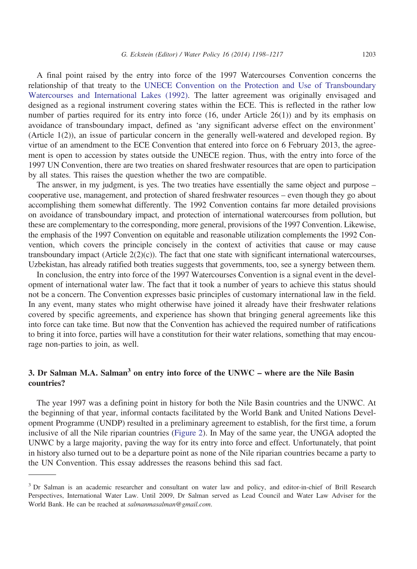A final point raised by the entry into force of the 1997 Watercourses Convention concerns the relationship of that treaty to the [UNECE Convention on the Protection and Use of Transboundary](#page-20-0) [Watercourses and International Lakes \(1992\)](#page-20-0). The latter agreement was originally envisaged and designed as a regional instrument covering states within the ECE. This is reflected in the rather low number of parties required for its entry into force (16, under Article 26(1)) and by its emphasis on avoidance of transboundary impact, defined as 'any significant adverse effect on the environment' (Article 1(2)), an issue of particular concern in the generally well-watered and developed region. By virtue of an amendment to the ECE Convention that entered into force on 6 February 2013, the agreement is open to accession by states outside the UNECE region. Thus, with the entry into force of the 1997 UN Convention, there are two treaties on shared freshwater resources that are open to participation by all states. This raises the question whether the two are compatible.

The answer, in my judgment, is yes. The two treaties have essentially the same object and purpose – cooperative use, management, and protection of shared freshwater resources – even though they go about accomplishing them somewhat differently. The 1992 Convention contains far more detailed provisions on avoidance of transboundary impact, and protection of international watercourses from pollution, but these are complementary to the corresponding, more general, provisions of the 1997 Convention. Likewise, the emphasis of the 1997 Convention on equitable and reasonable utilization complements the 1992 Convention, which covers the principle concisely in the context of activities that cause or may cause transboundary impact (Article  $2(2)(c)$ ). The fact that one state with significant international watercourses, Uzbekistan, has already ratified both treaties suggests that governments, too, see a synergy between them.

In conclusion, the entry into force of the 1997 Watercourses Convention is a signal event in the development of international water law. The fact that it took a number of years to achieve this status should not be a concern. The Convention expresses basic principles of customary international law in the field. In any event, many states who might otherwise have joined it already have their freshwater relations covered by specific agreements, and experience has shown that bringing general agreements like this into force can take time. But now that the Convention has achieved the required number of ratifications to bring it into force, parties will have a constitution for their water relations, something that may encourage non-parties to join, as well.

## 3. Dr Salman M.A. Salman<sup>3</sup> on entry into force of the UNWC – where are the Nile Basin countries?

The year 1997 was a defining point in history for both the Nile Basin countries and the UNWC. At the beginning of that year, informal contacts facilitated by the World Bank and United Nations Development Programme (UNDP) resulted in a preliminary agreement to establish, for the first time, a forum inclusive of all the Nile riparian countries ([Figure 2\)](#page-7-0). In May of the same year, the UNGA adopted the UNWC by a large majority, paving the way for its entry into force and effect. Unfortunately, that point in history also turned out to be a departure point as none of the Nile riparian countries became a party to the UN Convention. This essay addresses the reasons behind this sad fact.

<sup>&</sup>lt;sup>3</sup> Dr Salman is an academic researcher and consultant on water law and policy, and editor-in-chief of Brill Research Perspectives, International Water Law. Until 2009, Dr Salman served as Lead Council and Water Law Adviser for the World Bank. He can be reached at salmanmasalman@gmail.com.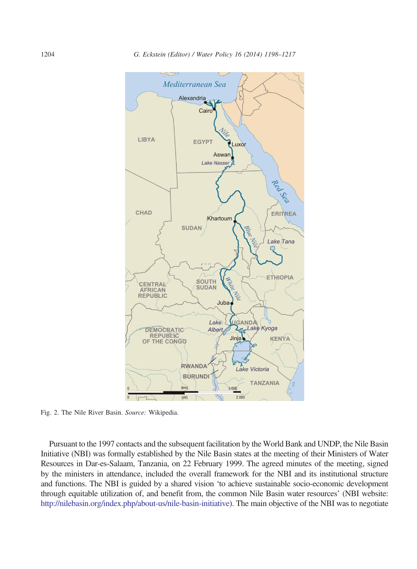<span id="page-7-0"></span>

Fig. 2. The Nile River Basin. Source: Wikipedia.

Pursuant to the 1997 contacts and the subsequent facilitation by the World Bank and UNDP, the Nile Basin Initiative (NBI) was formally established by the Nile Basin states at the meeting of their Ministers of Water Resources in Dar-es-Salaam, Tanzania, on 22 February 1999. The agreed minutes of the meeting, signed by the ministers in attendance, included the overall framework for the NBI and its institutional structure and functions. The NBI is guided by a shared vision 'to achieve sustainable socio-economic development through equitable utilization of, and benefit from, the common Nile Basin water resources' (NBI website: [http://nilebasin.org/index.php/about-us/nile-basin-initiative\)](http://nilebasin.org/index.php/about-us/nile-basin-initiative). The main objective of the NBI was to negotiate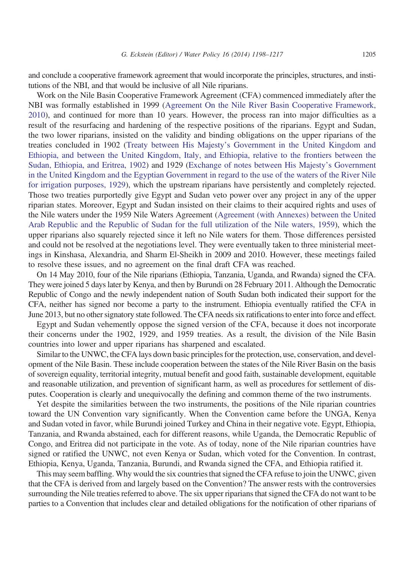and conclude a cooperative framework agreement that would incorporate the principles, structures, and institutions of the NBI, and that would be inclusive of all Nile riparians.

Work on the Nile Basin Cooperative Framework Agreement (CFA) commenced immediately after the NBI was formally established in 1999 ([Agreement On the Nile River Basin Cooperative Framework,](#page-19-0) [2010](#page-19-0)), and continued for more than 10 years. However, the process ran into major difficulties as a result of the resurfacing and hardening of the respective positions of the riparians. Egypt and Sudan, the two lower riparians, insisted on the validity and binding obligations on the upper riparians of the treaties concluded in 1902 (Treaty between His Majesty'[s Government in the United Kingdom and](#page-20-0) [Ethiopia, and between the United Kingdom, Italy, and Ethiopia, relative to the frontiers between the](#page-20-0) [Sudan, Ethiopia, and Eritrea, 1902\)](#page-20-0) and 1929 [\(Exchange of notes between His Majesty](#page-20-0)'s Government [in the United Kingdom and the Egyptian Government in regard to the use of the waters of the River Nile](#page-20-0) [for irrigation purposes, 1929](#page-20-0)), which the upstream riparians have persistently and completely rejected. Those two treaties purportedly give Egypt and Sudan veto power over any project in any of the upper riparian states. Moreover, Egypt and Sudan insisted on their claims to their acquired rights and uses of the Nile waters under the 1959 Nile Waters Agreement [\(Agreement \(with Annexes\) between the United](#page-19-0) [Arab Republic and the Republic of Sudan for the full utilization of the Nile waters, 1959](#page-19-0)), which the upper riparians also squarely rejected since it left no Nile waters for them. Those differences persisted and could not be resolved at the negotiations level. They were eventually taken to three ministerial meetings in Kinshasa, Alexandria, and Sharm El-Sheikh in 2009 and 2010. However, these meetings failed to resolve these issues, and no agreement on the final draft CFA was reached.

On 14 May 2010, four of the Nile riparians (Ethiopia, Tanzania, Uganda, and Rwanda) signed the CFA. They were joined 5 days later by Kenya, and then by Burundi on 28 February 2011. Although the Democratic Republic of Congo and the newly independent nation of South Sudan both indicated their support for the CFA, neither has signed nor become a party to the instrument. Ethiopia eventually ratified the CFA in June 2013, but no other signatory state followed. The CFA needs six ratifications to enter into force and effect.

Egypt and Sudan vehemently oppose the signed version of the CFA, because it does not incorporate their concerns under the 1902, 1929, and 1959 treaties. As a result, the division of the Nile Basin countries into lower and upper riparians has sharpened and escalated.

Similar to the UNWC, the CFA lays down basic principles for the protection, use, conservation, and development of the Nile Basin. These include cooperation between the states of the Nile River Basin on the basis of sovereign equality, territorial integrity, mutual benefit and good faith, sustainable development, equitable and reasonable utilization, and prevention of significant harm, as well as procedures for settlement of disputes. Cooperation is clearly and unequivocally the defining and common theme of the two instruments.

Yet despite the similarities between the two instruments, the positions of the Nile riparian countries toward the UN Convention vary significantly. When the Convention came before the UNGA, Kenya and Sudan voted in favor, while Burundi joined Turkey and China in their negative vote. Egypt, Ethiopia, Tanzania, and Rwanda abstained, each for different reasons, while Uganda, the Democratic Republic of Congo, and Eritrea did not participate in the vote. As of today, none of the Nile riparian countries have signed or ratified the UNWC, not even Kenya or Sudan, which voted for the Convention. In contrast, Ethiopia, Kenya, Uganda, Tanzania, Burundi, and Rwanda signed the CFA, and Ethiopia ratified it.

This may seem baffling. Why would the six countries that signed the CFA refuse to join the UNWC, given that the CFA is derived from and largely based on the Convention? The answer rests with the controversies surrounding the Nile treaties referred to above. The six upper riparians that signed the CFA do not want to be parties to a Convention that includes clear and detailed obligations for the notification of other riparians of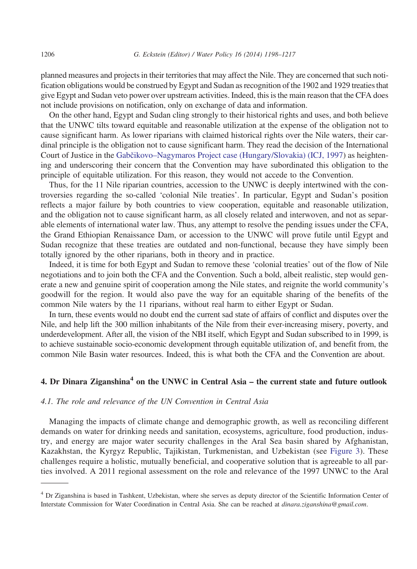planned measures and projects in their territories that may affect the Nile. They are concerned that such notification obligations would be construed by Egypt and Sudan as recognition of the 1902 and 1929 treaties that give Egypt and Sudan veto power over upstream activities. Indeed, this is the main reason that the CFA does not include provisions on notification, only on exchange of data and information.

On the other hand, Egypt and Sudan cling strongly to their historical rights and uses, and both believe that the UNWC tilts toward equitable and reasonable utilization at the expense of the obligation not to cause significant harm. As lower riparians with claimed historical rights over the Nile waters, their cardinal principle is the obligation not to cause significant harm. They read the decision of the International Court of Justice in the Gabčikovo–[Nagymaros Project case \(Hungary/Slovakia\) \(ICJ, 1997](#page-20-0)) as heightening and underscoring their concern that the Convention may have subordinated this obligation to the principle of equitable utilization. For this reason, they would not accede to the Convention.

Thus, for the 11 Nile riparian countries, accession to the UNWC is deeply intertwined with the controversies regarding the so-called 'colonial Nile treaties'. In particular, Egypt and Sudan's position reflects a major failure by both countries to view cooperation, equitable and reasonable utilization, and the obligation not to cause significant harm, as all closely related and interwoven, and not as separable elements of international water law. Thus, any attempt to resolve the pending issues under the CFA, the Grand Ethiopian Renaissance Dam, or accession to the UNWC will prove futile until Egypt and Sudan recognize that these treaties are outdated and non-functional, because they have simply been totally ignored by the other riparians, both in theory and in practice.

Indeed, it is time for both Egypt and Sudan to remove these 'colonial treaties' out of the flow of Nile negotiations and to join both the CFA and the Convention. Such a bold, albeit realistic, step would generate a new and genuine spirit of cooperation among the Nile states, and reignite the world community's goodwill for the region. It would also pave the way for an equitable sharing of the benefits of the common Nile waters by the 11 riparians, without real harm to either Egypt or Sudan.

In turn, these events would no doubt end the current sad state of affairs of conflict and disputes over the Nile, and help lift the 300 million inhabitants of the Nile from their ever-increasing misery, poverty, and underdevelopment. After all, the vision of the NBI itself, which Egypt and Sudan subscribed to in 1999, is to achieve sustainable socio-economic development through equitable utilization of, and benefit from, the common Nile Basin water resources. Indeed, this is what both the CFA and the Convention are about.

## 4. Dr Dinara Ziganshina<sup>4</sup> on the UNWC in Central Asia – the current state and future outlook

## 4.1. The role and relevance of the UN Convention in Central Asia

Managing the impacts of climate change and demographic growth, as well as reconciling different demands on water for drinking needs and sanitation, ecosystems, agriculture, food production, industry, and energy are major water security challenges in the Aral Sea basin shared by Afghanistan, Kazakhstan, the Kyrgyz Republic, Tajikistan, Turkmenistan, and Uzbekistan (see [Figure 3](#page-10-0)). These challenges require a holistic, mutually beneficial, and cooperative solution that is agreeable to all parties involved. A 2011 regional assessment on the role and relevance of the 1997 UNWC to the Aral

<sup>&</sup>lt;sup>4</sup> Dr Ziganshina is based in Tashkent, Uzbekistan, where she serves as deputy director of the Scientific Information Center of Interstate Commission for Water Coordination in Central Asia. She can be reached at *dinara.ziganshina@gmail.com.*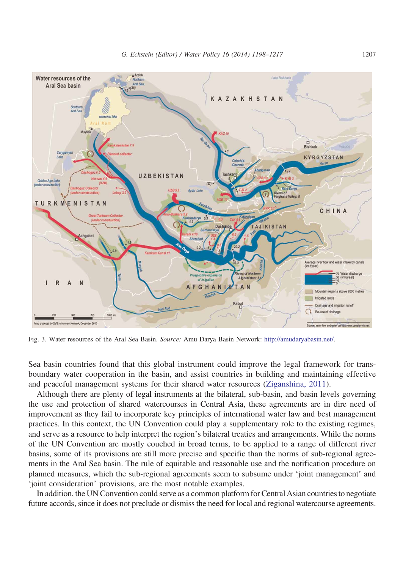<span id="page-10-0"></span>

Fig. 3. Water resources of the Aral Sea Basin. Source: Amu Darya Basin Network: [http://amudaryabasin.net/.](http://amudaryabasin.net/)

Sea basin countries found that this global instrument could improve the legal framework for transboundary water cooperation in the basin, and assist countries in building and maintaining effective and peaceful management systems for their shared water resources [\(Ziganshina, 2011\)](#page-20-0).

Although there are plenty of legal instruments at the bilateral, sub-basin, and basin levels governing the use and protection of shared watercourses in Central Asia, these agreements are in dire need of improvement as they fail to incorporate key principles of international water law and best management practices. In this context, the UN Convention could play a supplementary role to the existing regimes, and serve as a resource to help interpret the region's bilateral treaties and arrangements. While the norms of the UN Convention are mostly couched in broad terms, to be applied to a range of different river basins, some of its provisions are still more precise and specific than the norms of sub-regional agreements in the Aral Sea basin. The rule of equitable and reasonable use and the notification procedure on planned measures, which the sub-regional agreements seem to subsume under 'joint management' and 'joint consideration' provisions, are the most notable examples.

In addition, the UN Convention could serve as a common platform for Central Asian countries to negotiate future accords, since it does not preclude or dismiss the need for local and regional watercourse agreements.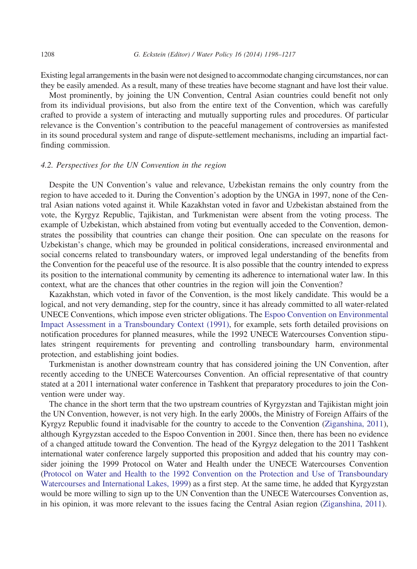Existing legal arrangements in the basin were not designed to accommodate changing circumstances, nor can they be easily amended. As a result, many of these treaties have become stagnant and have lost their value.

Most prominently, by joining the UN Convention, Central Asian countries could benefit not only from its individual provisions, but also from the entire text of the Convention, which was carefully crafted to provide a system of interacting and mutually supporting rules and procedures. Of particular relevance is the Convention's contribution to the peaceful management of controversies as manifested in its sound procedural system and range of dispute-settlement mechanisms, including an impartial factfinding commission.

#### 4.2. Perspectives for the UN Convention in the region

Despite the UN Convention's value and relevance, Uzbekistan remains the only country from the region to have acceded to it. During the Convention's adoption by the UNGA in 1997, none of the Central Asian nations voted against it. While Kazakhstan voted in favor and Uzbekistan abstained from the vote, the Kyrgyz Republic, Tajikistan, and Turkmenistan were absent from the voting process. The example of Uzbekistan, which abstained from voting but eventually acceded to the Convention, demonstrates the possibility that countries can change their position. One can speculate on the reasons for Uzbekistan's change, which may be grounded in political considerations, increased environmental and social concerns related to transboundary waters, or improved legal understanding of the benefits from the Convention for the peaceful use of the resource. It is also possible that the country intended to express its position to the international community by cementing its adherence to international water law. In this context, what are the chances that other countries in the region will join the Convention?

Kazakhstan, which voted in favor of the Convention, is the most likely candidate. This would be a logical, and not very demanding, step for the country, since it has already committed to all water-related UNECE Conventions, which impose even stricter obligations. The [Espoo Convention on Environmental](#page-20-0) [Impact Assessment in a Transboundary Context \(1991\)](#page-20-0), for example, sets forth detailed provisions on notification procedures for planned measures, while the 1992 UNECE Watercourses Convention stipulates stringent requirements for preventing and controlling transboundary harm, environmental protection, and establishing joint bodies.

Turkmenistan is another downstream country that has considered joining the UN Convention, after recently acceding to the UNECE Watercourses Convention. An official representative of that country stated at a 2011 international water conference in Tashkent that preparatory procedures to join the Convention were under way.

The chance in the short term that the two upstream countries of Kyrgyzstan and Tajikistan might join the UN Convention, however, is not very high. In the early 2000s, the Ministry of Foreign Affairs of the Kyrgyz Republic found it inadvisable for the country to accede to the Convention [\(Ziganshina, 2011\)](#page-20-0), although Kyrgyzstan acceded to the Espoo Convention in 2001. Since then, there has been no evidence of a changed attitude toward the Convention. The head of the Kyrgyz delegation to the 2011 Tashkent international water conference largely supported this proposition and added that his country may consider joining the 1999 Protocol on Water and Health under the UNECE Watercourses Convention ([Protocol on Water and Health to the 1992 Convention on the Protection and Use of Transboundary](#page-20-0) [Watercourses and International Lakes, 1999\)](#page-20-0) as a first step. At the same time, he added that Kyrgyzstan would be more willing to sign up to the UN Convention than the UNECE Watercourses Convention as, in his opinion, it was more relevant to the issues facing the Central Asian region [\(Ziganshina, 2011\)](#page-20-0).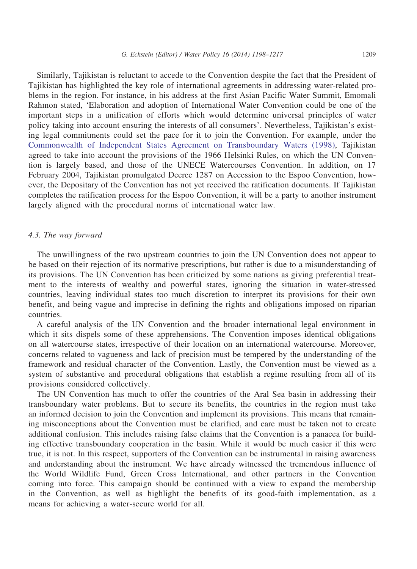Similarly, Tajikistan is reluctant to accede to the Convention despite the fact that the President of Tajikistan has highlighted the key role of international agreements in addressing water-related problems in the region. For instance, in his address at the first Asian Pacific Water Summit, Emomali Rahmon stated, 'Elaboration and adoption of International Water Convention could be one of the important steps in a unification of efforts which would determine universal principles of water policy taking into account ensuring the interests of all consumers'. Nevertheless, Tajikistan's existing legal commitments could set the pace for it to join the Convention. For example, under the [Commonwealth of Independent States Agreement on Transboundary Waters \(1998\),](#page-20-0) Tajikistan agreed to take into account the provisions of the 1966 Helsinki Rules, on which the UN Convention is largely based, and those of the UNECE Watercourses Convention. In addition, on 17 February 2004, Tajikistan promulgated Decree 1287 on Accession to the Espoo Convention, however, the Depositary of the Convention has not yet received the ratification documents. If Tajikistan completes the ratification process for the Espoo Convention, it will be a party to another instrument largely aligned with the procedural norms of international water law.

## 4.3. The way forward

The unwillingness of the two upstream countries to join the UN Convention does not appear to be based on their rejection of its normative prescriptions, but rather is due to a misunderstanding of its provisions. The UN Convention has been criticized by some nations as giving preferential treatment to the interests of wealthy and powerful states, ignoring the situation in water-stressed countries, leaving individual states too much discretion to interpret its provisions for their own benefit, and being vague and imprecise in defining the rights and obligations imposed on riparian countries.

A careful analysis of the UN Convention and the broader international legal environment in which it sits dispels some of these apprehensions. The Convention imposes identical obligations on all watercourse states, irrespective of their location on an international watercourse. Moreover, concerns related to vagueness and lack of precision must be tempered by the understanding of the framework and residual character of the Convention. Lastly, the Convention must be viewed as a system of substantive and procedural obligations that establish a regime resulting from all of its provisions considered collectively.

The UN Convention has much to offer the countries of the Aral Sea basin in addressing their transboundary water problems. But to secure its benefits, the countries in the region must take an informed decision to join the Convention and implement its provisions. This means that remaining misconceptions about the Convention must be clarified, and care must be taken not to create additional confusion. This includes raising false claims that the Convention is a panacea for building effective transboundary cooperation in the basin. While it would be much easier if this were true, it is not. In this respect, supporters of the Convention can be instrumental in raising awareness and understanding about the instrument. We have already witnessed the tremendous influence of the World Wildlife Fund, Green Cross International, and other partners in the Convention coming into force. This campaign should be continued with a view to expand the membership in the Convention, as well as highlight the benefits of its good-faith implementation, as a means for achieving a water-secure world for all.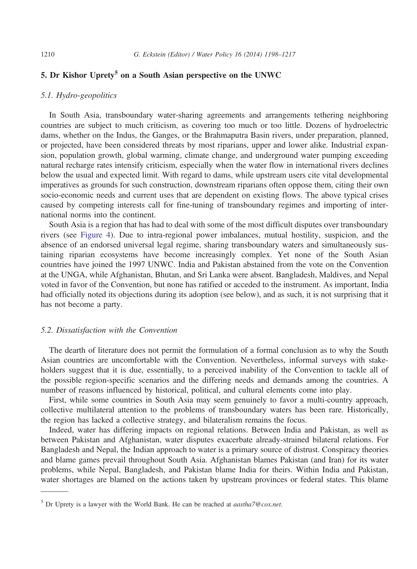## 5. Dr Kishor Uprety<sup>5</sup> on a South Asian perspective on the UNWC

## 5.1. Hydro-geopolitics

In South Asia, transboundary water-sharing agreements and arrangements tethering neighboring countries are subject to much criticism, as covering too much or too little. Dozens of hydroelectric dams, whether on the Indus, the Ganges, or the Brahmaputra Basin rivers, under preparation, planned, or projected, have been considered threats by most riparians, upper and lower alike. Industrial expansion, population growth, global warming, climate change, and underground water pumping exceeding natural recharge rates intensify criticism, especially when the water flow in international rivers declines below the usual and expected limit. With regard to dams, while upstream users cite vital developmental imperatives as grounds for such construction, downstream riparians often oppose them, citing their own socio-economic needs and current uses that are dependent on existing flows. The above typical crises caused by competing interests call for fine-tuning of transboundary regimes and importing of international norms into the continent.

South Asia is a region that has had to deal with some of the most difficult disputes over transboundary rivers (see [Figure 4](#page-14-0)). Due to intra-regional power imbalances, mutual hostility, suspicion, and the absence of an endorsed universal legal regime, sharing transboundary waters and simultaneously sustaining riparian ecosystems have become increasingly complex. Yet none of the South Asian countries have joined the 1997 UNWC. India and Pakistan abstained from the vote on the Convention at the UNGA, while Afghanistan, Bhutan, and Sri Lanka were absent. Bangladesh, Maldives, and Nepal voted in favor of the Convention, but none has ratified or acceded to the instrument. As important, India had officially noted its objections during its adoption (see below), and as such, it is not surprising that it has not become a party.

### 5.2. Dissatisfaction with the Convention

The dearth of literature does not permit the formulation of a formal conclusion as to why the South Asian countries are uncomfortable with the Convention. Nevertheless, informal surveys with stakeholders suggest that it is due, essentially, to a perceived inability of the Convention to tackle all of the possible region-specific scenarios and the differing needs and demands among the countries. A number of reasons influenced by historical, political, and cultural elements come into play.

First, while some countries in South Asia may seem genuinely to favor a multi-country approach, collective multilateral attention to the problems of transboundary waters has been rare. Historically, the region has lacked a collective strategy, and bilateralism remains the focus.

Indeed, water has differing impacts on regional relations. Between India and Pakistan, as well as between Pakistan and Afghanistan, water disputes exacerbate already-strained bilateral relations. For Bangladesh and Nepal, the Indian approach to water is a primary source of distrust. Conspiracy theories and blame games prevail throughout South Asia. Afghanistan blames Pakistan (and Iran) for its water problems, while Nepal, Bangladesh, and Pakistan blame India for theirs. Within India and Pakistan, water shortages are blamed on the actions taken by upstream provinces or federal states. This blame

<sup>&</sup>lt;sup>5</sup> Dr Uprety is a lawyer with the World Bank. He can be reached at *aastha*7@cox.net.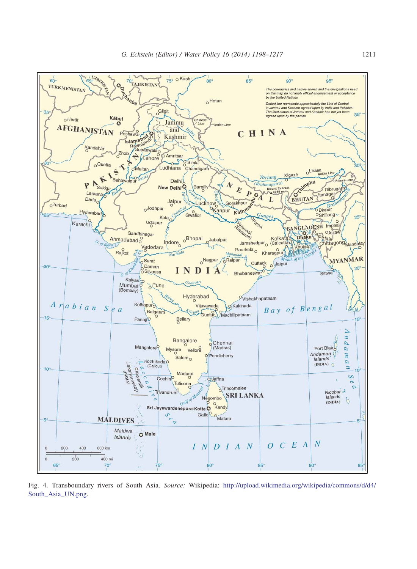<span id="page-14-0"></span>

Fig. 4. Transboundary rivers of South Asia. Source: Wikipedia: [http://upload.wikimedia.org/wikipedia/commons/d/d4/](http://upload.wikimedia.org/wikipedia/commons/d/d4/South_Asia_UN.png) [South\\_Asia\\_UN.png](http://upload.wikimedia.org/wikipedia/commons/d/d4/South_Asia_UN.png).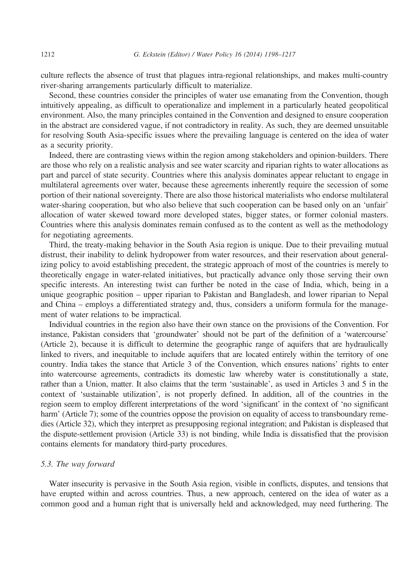culture reflects the absence of trust that plagues intra-regional relationships, and makes multi-country river-sharing arrangements particularly difficult to materialize.

Second, these countries consider the principles of water use emanating from the Convention, though intuitively appealing, as difficult to operationalize and implement in a particularly heated geopolitical environment. Also, the many principles contained in the Convention and designed to ensure cooperation in the abstract are considered vague, if not contradictory in reality. As such, they are deemed unsuitable for resolving South Asia-specific issues where the prevailing language is centered on the idea of water as a security priority.

Indeed, there are contrasting views within the region among stakeholders and opinion-builders. There are those who rely on a realistic analysis and see water scarcity and riparian rights to water allocations as part and parcel of state security. Countries where this analysis dominates appear reluctant to engage in multilateral agreements over water, because these agreements inherently require the secession of some portion of their national sovereignty. There are also those historical materialists who endorse multilateral water-sharing cooperation, but who also believe that such cooperation can be based only on an 'unfair' allocation of water skewed toward more developed states, bigger states, or former colonial masters. Countries where this analysis dominates remain confused as to the content as well as the methodology for negotiating agreements.

Third, the treaty-making behavior in the South Asia region is unique. Due to their prevailing mutual distrust, their inability to delink hydropower from water resources, and their reservation about generalizing policy to avoid establishing precedent, the strategic approach of most of the countries is merely to theoretically engage in water-related initiatives, but practically advance only those serving their own specific interests. An interesting twist can further be noted in the case of India, which, being in a unique geographic position – upper riparian to Pakistan and Bangladesh, and lower riparian to Nepal and China – employs a differentiated strategy and, thus, considers a uniform formula for the management of water relations to be impractical.

Individual countries in the region also have their own stance on the provisions of the Convention. For instance, Pakistan considers that 'groundwater' should not be part of the definition of a 'watercourse' (Article 2), because it is difficult to determine the geographic range of aquifers that are hydraulically linked to rivers, and inequitable to include aquifers that are located entirely within the territory of one country. India takes the stance that Article 3 of the Convention, which ensures nations' rights to enter into watercourse agreements, contradicts its domestic law whereby water is constitutionally a state, rather than a Union, matter. It also claims that the term 'sustainable', as used in Articles 3 and 5 in the context of 'sustainable utilization', is not properly defined. In addition, all of the countries in the region seem to employ different interpretations of the word 'significant' in the context of 'no significant harm' (Article 7); some of the countries oppose the provision on equality of access to transboundary remedies (Article 32), which they interpret as presupposing regional integration; and Pakistan is displeased that the dispute-settlement provision (Article 33) is not binding, while India is dissatisfied that the provision contains elements for mandatory third-party procedures.

## 5.3. The way forward

Water insecurity is pervasive in the South Asia region, visible in conflicts, disputes, and tensions that have erupted within and across countries. Thus, a new approach, centered on the idea of water as a common good and a human right that is universally held and acknowledged, may need furthering. The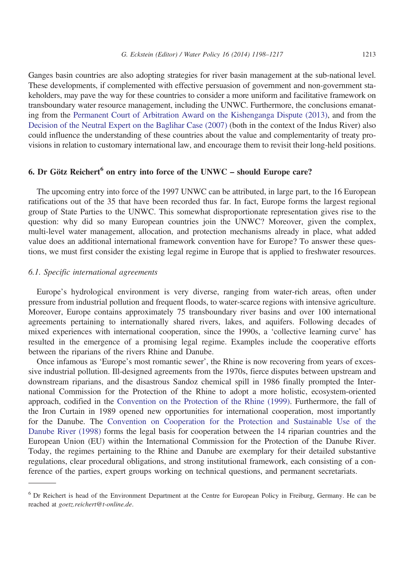Ganges basin countries are also adopting strategies for river basin management at the sub-national level. These developments, if complemented with effective persuasion of government and non-government stakeholders, may pave the way for these countries to consider a more uniform and facilitative framework on transboundary water resource management, including the UNWC. Furthermore, the conclusions emanating from the [Permanent Court of Arbitration Award on the Kishenganga Dispute \(2013\),](#page-20-0) and from the [Decision of the Neutral Expert on the Baglihar Case \(2007\)](#page-20-0) (both in the context of the Indus River) also could influence the understanding of these countries about the value and complementarity of treaty provisions in relation to customary international law, and encourage them to revisit their long-held positions.

## 6. Dr Götz Reichert<sup>6</sup> on entry into force of the UNWC – should Europe care?

The upcoming entry into force of the 1997 UNWC can be attributed, in large part, to the 16 European ratifications out of the 35 that have been recorded thus far. In fact, Europe forms the largest regional group of State Parties to the UNWC. This somewhat disproportionate representation gives rise to the question: why did so many European countries join the UNWC? Moreover, given the complex, multi-level water management, allocation, and protection mechanisms already in place, what added value does an additional international framework convention have for Europe? To answer these questions, we must first consider the existing legal regime in Europe that is applied to freshwater resources.

## 6.1. Specific international agreements

Europe's hydrological environment is very diverse, ranging from water-rich areas, often under pressure from industrial pollution and frequent floods, to water-scarce regions with intensive agriculture. Moreover, Europe contains approximately 75 transboundary river basins and over 100 international agreements pertaining to internationally shared rivers, lakes, and aquifers. Following decades of mixed experiences with international cooperation, since the 1990s, a 'collective learning curve' has resulted in the emergence of a promising legal regime. Examples include the cooperative efforts between the riparians of the rivers Rhine and Danube.

Once infamous as 'Europe's most romantic sewer', the Rhine is now recovering from years of excessive industrial pollution. Ill-designed agreements from the 1970s, fierce disputes between upstream and downstream riparians, and the disastrous Sandoz chemical spill in 1986 finally prompted the International Commission for the Protection of the Rhine to adopt a more holistic, ecosystem-oriented approach, codified in the [Convention on the Protection of the Rhine \(1999\).](#page-20-0) Furthermore, the fall of the Iron Curtain in 1989 opened new opportunities for international cooperation, most importantly for the Danube. The [Convention on Cooperation for the Protection and Sustainable Use of the](#page-20-0) [Danube River \(1998\)](#page-20-0) forms the legal basis for cooperation between the 14 riparian countries and the European Union (EU) within the International Commission for the Protection of the Danube River. Today, the regimes pertaining to the Rhine and Danube are exemplary for their detailed substantive regulations, clear procedural obligations, and strong institutional framework, each consisting of a conference of the parties, expert groups working on technical questions, and permanent secretariats.

<sup>6</sup> Dr Reichert is head of the Environment Department at the Centre for European Policy in Freiburg, Germany. He can be reached at goetz.reichert@t-online.de.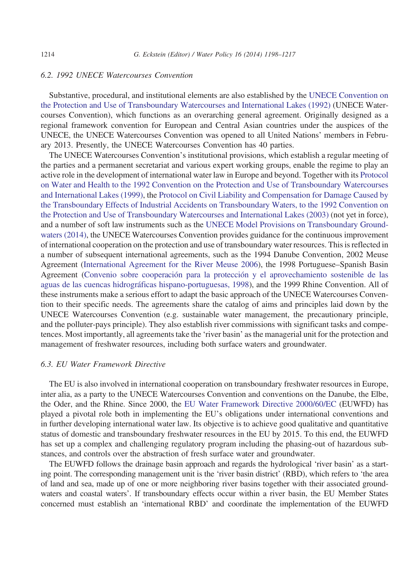## 6.2. 1992 UNECE Watercourses Convention

Substantive, procedural, and institutional elements are also established by the [UNECE Convention on](#page-20-0) [the Protection and Use of Transboundary Watercourses and International Lakes \(1992\)](#page-20-0) (UNECE Watercourses Convention), which functions as an overarching general agreement. Originally designed as a regional framework convention for European and Central Asian countries under the auspices of the UNECE, the UNECE Watercourses Convention was opened to all United Nations' members in February 2013. Presently, the UNECE Watercourses Convention has 40 parties.

The UNECE Watercourses Convention's institutional provisions, which establish a regular meeting of the parties and a permanent secretariat and various expert working groups, enable the regime to play an active role in the development of international water law in Europe and beyond. Together with its [Protocol](#page-20-0) [on Water and Health to the 1992 Convention on the Protection and Use of Transboundary Watercourses](#page-20-0) [and International Lakes \(1999\),](#page-20-0) the [Protocol on Civil Liability and Compensation for Damage Caused by](#page-20-0) [the Transboundary Effects of Industrial Accidents on Transboundary Waters, to the 1992 Convention on](#page-20-0) [the Protection and Use of Transboundary Watercourses and International Lakes \(2003\)](#page-20-0) (not yet in force), and a number of soft law instruments such as the [UNECE Model Provisions on Transboundary Ground](#page-20-0)[waters \(2014\),](#page-20-0) the UNECE Watercourses Convention provides guidance for the continuous improvement of international cooperation on the protection and use of transboundary water resources. This is reflected in a number of subsequent international agreements, such as the 1994 Danube Convention, 2002 Meuse Agreement [\(International Agreement for the River Meuse 2006\)](#page-20-0), the 1998 Portuguese–Spanish Basin Agreement [\(Convenio sobre cooperación para la protección y el aprovechamiento sostenible de las](#page-20-0) [aguas de las cuencas hidrográficas hispano-portuguesas, 1998](#page-20-0)), and the 1999 Rhine Convention. All of these instruments make a serious effort to adapt the basic approach of the UNECE Watercourses Convention to their specific needs. The agreements share the catalog of aims and principles laid down by the UNECE Watercourses Convention (e.g. sustainable water management, the precautionary principle, and the polluter-pays principle). They also establish river commissions with significant tasks and competences. Most importantly, all agreements take the 'river basin' as the managerial unit for the protection and management of freshwater resources, including both surface waters and groundwater.

#### 6.3. EU Water Framework Directive

The EU is also involved in international cooperation on transboundary freshwater resources in Europe, inter alia, as a party to the UNECE Watercourses Convention and conventions on the Danube, the Elbe, the Oder, and the Rhine. Since 2000, the [EU Water Framework Directive 2000/60/EC](#page-20-0) (EUWFD) has played a pivotal role both in implementing the EU's obligations under international conventions and in further developing international water law. Its objective is to achieve good qualitative and quantitative status of domestic and transboundary freshwater resources in the EU by 2015. To this end, the EUWFD has set up a complex and challenging regulatory program including the phasing-out of hazardous substances, and controls over the abstraction of fresh surface water and groundwater.

The EUWFD follows the drainage basin approach and regards the hydrological 'river basin' as a starting point. The corresponding management unit is the 'river basin district' (RBD), which refers to 'the area of land and sea, made up of one or more neighboring river basins together with their associated groundwaters and coastal waters'. If transboundary effects occur within a river basin, the EU Member States concerned must establish an 'international RBD' and coordinate the implementation of the EUWFD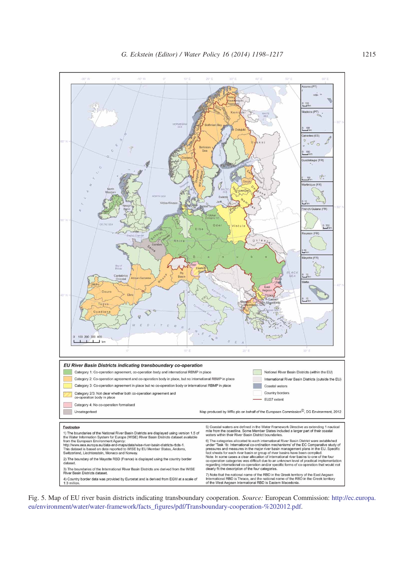<span id="page-18-0"></span>

Fig. 5. Map of EU river basin districts indicating transboundary cooperation. Source: European Commission: [http://ec.europa.](http://ec.europa.eu/environment/water/water-framework/facts_figures/pdf/Transboundary-cooperation-%202012.pdf) [eu/environment/water/water-framework/facts\\_figures/pdf/Transboundary-cooperation-%202012.pdf](http://ec.europa.eu/environment/water/water-framework/facts_figures/pdf/Transboundary-cooperation-%202012.pdf).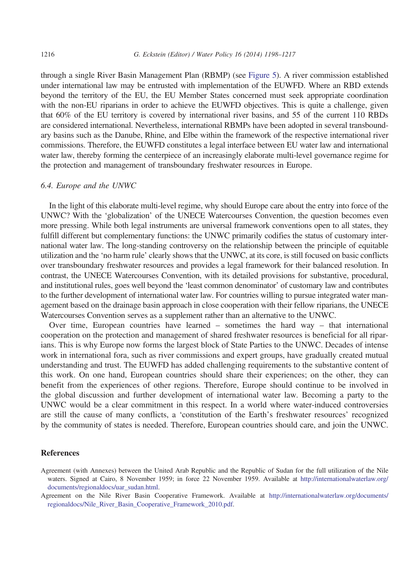<span id="page-19-0"></span>through a single River Basin Management Plan (RBMP) (see [Figure 5](#page-18-0)). A river commission established under international law may be entrusted with implementation of the EUWFD. Where an RBD extends beyond the territory of the EU, the EU Member States concerned must seek appropriate coordination with the non-EU riparians in order to achieve the EUWFD objectives. This is quite a challenge, given that 60% of the EU territory is covered by international river basins, and 55 of the current 110 RBDs are considered international. Nevertheless, international RBMPs have been adopted in several transboundary basins such as the Danube, Rhine, and Elbe within the framework of the respective international river commissions. Therefore, the EUWFD constitutes a legal interface between EU water law and international water law, thereby forming the centerpiece of an increasingly elaborate multi-level governance regime for the protection and management of transboundary freshwater resources in Europe.

### 6.4. Europe and the UNWC

In the light of this elaborate multi-level regime, why should Europe care about the entry into force of the UNWC? With the 'globalization' of the UNECE Watercourses Convention, the question becomes even more pressing. While both legal instruments are universal framework conventions open to all states, they fulfill different but complementary functions: the UNWC primarily codifies the status of customary international water law. The long-standing controversy on the relationship between the principle of equitable utilization and the 'no harm rule' clearly shows that the UNWC, at its core, is still focused on basic conflicts over transboundary freshwater resources and provides a legal framework for their balanced resolution. In contrast, the UNECE Watercourses Convention, with its detailed provisions for substantive, procedural, and institutional rules, goes well beyond the 'least common denominator' of customary law and contributes to the further development of international water law. For countries willing to pursue integrated water management based on the drainage basin approach in close cooperation with their fellow riparians, the UNECE Watercourses Convention serves as a supplement rather than an alternative to the UNWC.

Over time, European countries have learned – sometimes the hard way – that international cooperation on the protection and management of shared freshwater resources is beneficial for all riparians. This is why Europe now forms the largest block of State Parties to the UNWC. Decades of intense work in international fora, such as river commissions and expert groups, have gradually created mutual understanding and trust. The EUWFD has added challenging requirements to the substantive content of this work. On one hand, European countries should share their experiences; on the other, they can benefit from the experiences of other regions. Therefore, Europe should continue to be involved in the global discussion and further development of international water law. Becoming a party to the UNWC would be a clear commitment in this respect. In a world where water-induced controversies are still the cause of many conflicts, a 'constitution of the Earth's freshwater resources' recognized by the community of states is needed. Therefore, European countries should care, and join the UNWC.

#### References

Agreement (with Annexes) between the United Arab Republic and the Republic of Sudan for the full utilization of the Nile waters. Signed at Cairo, 8 November 1959; in force 22 November 1959. Available at [http://internationalwaterlaw.org/](http://internationalwaterlaw.org/documents/regionaldocs/uar_sudan.html) [documents/regionaldocs/uar\\_sudan.html](http://internationalwaterlaw.org/documents/regionaldocs/uar_sudan.html).

Agreement on the Nile River Basin Cooperative Framework. Available at [http://internationalwaterlaw.org/documents/](http://internationalwaterlaw.org/documents/regionaldocs/Nile_River_Basin_Cooperative_Framework_2010.pdf) [regionaldocs/Nile\\_River\\_Basin\\_Cooperative\\_Framework\\_2010.pdf.](http://internationalwaterlaw.org/documents/regionaldocs/Nile_River_Basin_Cooperative_Framework_2010.pdf)